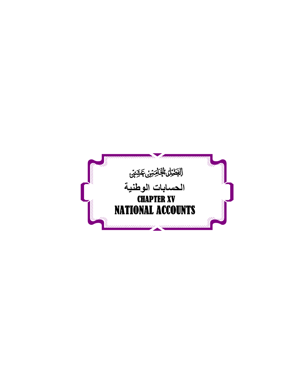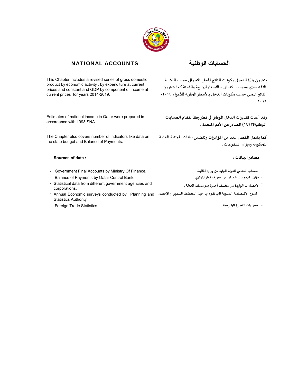

# **الحسابات الوطنية** ACCOUNTS NATIONAL

This Chapter includes a revised series of gross domestic product by economic activity , by expenditure at current prices and constant and GDP by component of income at current prices for years 2014-2019.

Estimates of national income in Qatar were prepared in accordance with 1993 SNA.

The Chapter also covers number of indicators like data on the state budget and Balance of Payments.

## **Sources of data : : مصادرالبيانات**

- **الحساب الختامي للدولة الوارد من وزارة املالية.** .Finance Of Ministry by Accounts Final Government -
- Balance of Payments by Qatar Central Bank. **.قطراملركزي مصرف الصادرمن املدفوعات م؈قان** -
- Statistical data from different government agencies and .corporations
- Annual Economic surveys conducted by Planning and **املسوح االقتصادية السنوية الۘܣ تقوم ٭ڈا جهازالتخطيط التنموي واإلحصاء** - Statistics Authority.
- **احصاءات التجارة الخارجية .** .Statistics Trade Foreign -

**يتضمن هذا الفصل مكونات الناتج املحڴي االجماڲي حسب النشاط االقتصادي وحسـب االنفاق ،باألسعارالجارية والثابتة كما يتضمن الناتج املحڴي حسب مكونات الدخل باألسعارالجارية لألعوام -٢٠١٤ .٢٠١٩**

**ً**وقد أعدت تقديرات الدخل الوطني في قطر وفقاً لنظام الحسابات **الوطنية(١٩٩٣) الصادرعن األمم املتحدة .**

**كما يشمل الفصل عدد من املؤشرات وتتضمن بيانات امل؈قانية العامة للحكومة وم؈قان املدفوعات .**

- 
- 
- **االحصاءات الواردة من مختلف أجهزة ومؤسسات الدولة .**
- **.**
	-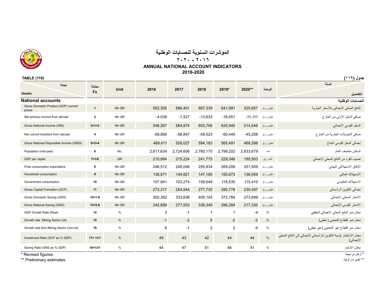

# **المؤشرات السنوية للحسابات الوطنية**

### **٢٠٢٠ - ٢٠١٦**

## **ANNUAL NATIONAL ACCOUNT INDICATORS**

 **2016-2020**

| Year                                           | معادلة         |               |           |           |                |                |           |               | السنة                                                                          |
|------------------------------------------------|----------------|---------------|-----------|-----------|----------------|----------------|-----------|---------------|--------------------------------------------------------------------------------|
| <b>Details</b>                                 | <b>Fx</b>      | <b>Unit</b>   | 2016      | 2017      | 2018           | 2019*          | 2020**    | الوحدة        | التفاصيل                                                                       |
| <b>National accounts</b>                       |                |               |           |           |                |                |           |               | الحسابات الوطنية                                                               |
| Gross Domestic Product (GDP) current<br>prices | $\mathbf{1}$   | Mn QR         | 552,305   | 586,401   | 667,339        | 641,991        | 525,657   | مليون ر ق     | الناتج المحلى الإجمالي بالأسعار الجارية                                        |
| Net primary income from abroad                 | $\mathbf{2}$   | Mn QR         | $-4,038$  | $-1,527$  | $-13,633$      | $-16,051$      | $-11,111$ | مليون ر ق     | صافي الدخل الأولى من الخارج                                                    |
| Gross National Income (GNI)                    | $3 = 1 + 2$    | Mn QR         | 548,267   | 584,874   | 653,706        | 625,940        | 514,546   | مليون ر ق     | الدخل القومي الإجمالي                                                          |
| Net current transfers from abroad              | $\overline{4}$ | Mn QR         | $-58,856$ | $-58,847$ | $-59,523$      | $-60,449$      | $-45,258$ | مليون ر ق     | صافي التحويلات الجارية من الخارج                                               |
| Gross National Disposable Income (GNDI)        | $5 - 3 + 4$    | Mn QR         | 489,411   | 526,027   | 594,183        | 565,491        | 469,288   | مليون ر ق     | إجمالي الدخل القومي المتاح                                                     |
| Population (mid-year)                          | 6              | No.           | 2,617,634 | 2,724,606 | 2,760,170      | 2,799,202      | 2,833,679 | عدد           | السكان منتصف العام                                                             |
| GDP per capita                                 | $7 = 1/6$      | QR            | 210,994   | 215,224   | 241,775        | 229,348        | 185,503   | الف ر ق       | نصيب الفرد من الناتج المحلي الإجمالي                                           |
| Final consumption expenditure                  | 8              | Mn QR         | 246.512   | 248,094   | 255,834        | 269,208        | 251,959   | مليون ر ق     | الإنفاق الاستهلاكي النهائي                                                     |
| Household consumption                          | 9              | Mn QR         | 138,571   | 144,821   | 147,185        | 150,673        | 136,549   | مليون ر ق     | الاستهلاك العائلي                                                              |
| Government consumption                         | 10             | Mn QR         | 107,941   | 103,274   | 108,649        | 118,535        | 115,410   | مليون ر ق     | الاستهلاك الحكومي                                                              |
| Gross Capital Formation (GCF)                  | 11             | Mn QR         | 273,317   | 254,544   | 277,735        | 280,778        | 230,497   | مليون ر ق     | إجمالي التكوين الرأسمالي                                                       |
| Gross Domestic Saving (GDS)                    | $12 = 1 - 8$   | Mn QR         | 302,382   | 333,636   | 405,104        | 372,784        | 273,699   | مليون ر ق     | الادخار المحلي الإجمالي                                                        |
| Gross National Saving (GNS)                    | $13 = 5 - 8$   | Mn QR         | 242,899   | 277,933   | 338,349        | 296,284        | 217,330   | مليون ر ق     | الادخار القومي الإجمالي                                                        |
| GDP Growth Rate (Real)                         | 14             | $\%$          | 3         | $-1$      | $\mathbf{1}$   | $\mathbf{1}$   | $-4$      | $\%$          | معدل نمو الناتج المحلي الإجمالي الحقيقي                                        |
| Growth rate Mining Sector (oil)                | 15             | $\frac{0}{6}$ | $-1$      | $-2$      | $\pmb{0}$      | $-2$           | $-2$      | $\frac{0}{6}$ | معدل نمو القطاع التعديني ( نفطي)                                               |
| Growth rate Non-Mining Sector (non-oil)        | 16             | $\%$          | 6         | $-1$      | $\overline{2}$ | $\overline{2}$ | $-4$      | $\%$          | معدل نمو القطاع غير التعديني (غير نفطي)                                        |
| Investment Rate (GCF as % GDP)                 | $17 = 11/1$    | $\%$          | 49        | 43        | 42             | 44             | 44        | $\frac{9}{6}$ | معدل الاستثمار (نسبة التكوين الرأسمالي الإجمالي إلى الناتج المحلي<br>الإجمالي) |
| Saving Rate (GNS as % GDP)                     | $18 = 13/1$    | $\%$          | 44        | 47        | 51             | 46             | 41        | $\%$          | معدل الادخار                                                                   |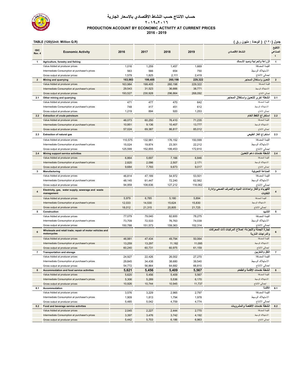

## **حساب االنتاج حسب النشاط االقتصادي باالسعار الجارية PRODUCTION ACCOUNT BY ECONOMIC ACTIVITY AT CURRENT PRICES ٢٠١٩-٢٠١٦ 2016 - 2019**

**جدول (١٢٠) ( الوحدة : مليون ر.ق ) (R.Q Million :Unit)(120 (TABLE** 

| <b>ISIC</b><br>Rev. 4 | <b>Economic Activity</b>                                                          | 2016             | 2017              | 2018              | 2019             | النشاط الاقتصادى                                                        | التنقيح<br>الصناعى<br>$\epsilon$ |
|-----------------------|-----------------------------------------------------------------------------------|------------------|-------------------|-------------------|------------------|-------------------------------------------------------------------------|----------------------------------|
| 1                     | Agriculture, forestry and fishing                                                 |                  |                   |                   |                  | الزراعة والحراجة وصيد الأسماك                                           | $\mathbf{1}$                     |
|                       | Value Added at producer prices                                                    | 1,016            | 1,259             | 1,457             | 1,669            | القيمة المضافة                                                          |                                  |
|                       | Intermediate Consumption at purchaser's prices                                    | 563              | 566               | 654               | 750              | الاستهلاك الوسيط                                                        |                                  |
|                       | Gross output at producer prices                                                   | 1,579            | 1,825             | 2,111             | 2,419            | اجمالي الانتاج                                                          |                                  |
| $\overline{2}$        | <b>Mining and quarrying</b>                                                       | 163,983          | 199,405           | 260,198           | 229,322          | التعدين واستغلال المحاجر                                                | $\overline{2}$                   |
|                       | Value Added at producer prices                                                    | 163,984          | 199,405           | 260,198           | 229,322          | القيمة المضافة                                                          |                                  |
|                       | Intermediate Consumption at purchaser's prices                                    | 29,543           | 31,523            | 36,666            | 38,771           | الاستهلاك الوسيط                                                        |                                  |
|                       | Gross output at producer prices                                                   | 193,527          | 230,928           | 296,864           | 268,092          | اجمالي الانتاج                                                          |                                  |
| 2.1                   | Other mining and quarrying                                                        |                  |                   |                   |                  | انشطة اخرى للتعدين واستغلال المحاجر                                     | 2.1                              |
|                       | Value Added at producer prices                                                    | 471              | 477               | 470               | 642              | القيمة المضافة                                                          |                                  |
|                       | Intermediate Consumption at purchaser's prices                                    | 748              | 417               | 451               | 612              | الاستهلاك الوسيط                                                        |                                  |
|                       | Gross output at producer prices                                                   | 1,219            | 894               | 920               | 1,253            | اجمالي الانتاج                                                          |                                  |
| 2.2                   | <b>Extraction of crude petroleum</b>                                              |                  |                   |                   | 71,235           | استخراج النفط الخام<br>القيمة المضافة                                   | 2.2                              |
|                       | Value Added at producer prices                                                    | 46,073           | 60,250            | 76,410            |                  | الاستهلاك الوسيط                                                        |                                  |
|                       | Intermediate Consumption at purchaser's prices<br>Gross output at producer prices | 10,951<br>57,024 | 9,136<br>69,387   | 10,407<br>86,817  | 13,777<br>85,012 | اجمالي الانتاج                                                          |                                  |
|                       |                                                                                   |                  |                   |                   |                  |                                                                         |                                  |
| 2.3                   | <b>Extraction of natural gas</b>                                                  |                  |                   |                   |                  | استخراج الغاز الطبيعى                                                   | 2.3                              |
|                       | Value Added at producer prices                                                    | 110,575          | 132,981           | 176,152           | 150,599          | القيمة المضافة                                                          |                                  |
|                       | Intermediate Consumption at purchaser's prices                                    | 15,024           | 19,874            | 23,301            | 22,212           | الاستهلاك الوسيط                                                        |                                  |
|                       | Gross output at producer prices                                                   | 125,599          | 152,855           | 199,453           | 172,810          | اجمالي الانتاج                                                          |                                  |
| 2.4                   | <b>Mining support service activities</b>                                          |                  |                   |                   |                  | أنشطة خدمات دعم التعدين                                                 | 2.4                              |
|                       | Value Added at producer prices                                                    | 6,864            | 5,697             | 7,166             | 6,846            | القيمة المضافة                                                          |                                  |
|                       | Intermediate Consumption at purchaser's prices                                    | 2,820            | 2,096             | 2,507             | 2,171            | الاستهلاك الوسيط                                                        |                                  |
| 3                     | Gross output at producer prices                                                   | 9,684            | 7,793             | 9,673             | 9,017            | اجمالي الانتاج<br>الصناعة التحويلية                                     | 3                                |
|                       | Manufacturing                                                                     | 46,814           | 47,189            |                   | 53,501           | القيمة المضافة                                                          |                                  |
|                       | Value Added at producer prices<br>Intermediate Consumption at purchaser's prices  | 48,145           |                   | 54,972            | 62,562           | الاستهلاك الوسيط                                                        |                                  |
|                       | Gross output at producer prices                                                   | 94,959           | 61,447<br>108,636 | 72,240<br>127,212 | 116,062          | اجمالي الانتاج                                                          |                                  |
| $\overline{4}$        | Electricity, gas, water supply, sewerage and waste<br>management                  |                  |                   |                   |                  | الكهرباء والغاز وإمدادات المياه والصرف الصحي وإدارة<br>النفايات         |                                  |
|                       | Value Added at producer prices                                                    | 5,979            | 6,785             | 5,180             | 5,894            | القيمة المضافة                                                          |                                  |
|                       | Intermediate Consumption at purchaser's prices                                    | 12,033           | 14,530            | 15,624            | 15,830           | الاستهلاك الوسيط                                                        |                                  |
|                       | Gross output at producer prices                                                   | 18,012           | 21,315            | 20,805            | 21,725           | اجمالي الانتاج                                                          |                                  |
| 5                     | Construction                                                                      |                  |                   |                   |                  | ألتشييد                                                                 | 5                                |
|                       | Value Added at producer prices                                                    | 77,079           | 79,040            | 82,600            | 78,275           | القيمة المضافة                                                          |                                  |
|                       | Intermediate Consumption at purchaser's prices                                    | 73,709           | 72,533            | 76,763            | 74,039           | الاستهلاك الوسيط                                                        |                                  |
|                       | Gross output at producer prices                                                   | 150,788          | 151,573           | 159,363           | 152,314          | اجمالي الانتاج                                                          |                                  |
| 6                     | Wholesale and retail trade; repair of motor vehicles and<br>motorcycles           |                  |                   |                   |                  | تجارة الجملة والتجزئة؛ إصلاح المركبات ذات المحركات<br>والدراجات النارية |                                  |
|                       | Value Added at producer prices                                                    | 46,981           | 47,434            | 49,794            | 50,064           | القمة المضافة                                                           |                                  |
|                       | Intermediate Consumption at purchaser's prices                                    | 13,259           | 13,297            | 11,182            | 11,095           | الاستهلاك الوسيط                                                        |                                  |
|                       | Gross output at producer prices                                                   | 60,240           | 60,731            | 60,975            | 61,159           | اجمالي الانتاج                                                          |                                  |
| 7                     | <b>Transportation and storage</b>                                                 |                  |                   |                   |                  | النفل والتخزيين                                                         | $\overline{7}$                   |
|                       | Value Added at producer prices                                                    | 24,927           | 22,426            | 26,002            | 27,270           | القيمة المضافة                                                          |                                  |
|                       | Intermediate Consumption at purchaser's prices                                    | 29,845           | 34,438            | 38,680            | 39,540           | الاستهلاك الوسيط                                                        |                                  |
|                       | Gross output at producer prices                                                   | 54,772           | 56,864            | 64,682            | 66,810           | اجمالي الانتاج                                                          |                                  |
| 8                     | <b>Accommodation and food service activities</b>                                  | 5,621            | 5,456             | 5,409             | 5,567            | أنشطة خدمات الاقامة والطعام                                             | 8                                |
|                       | Value Added at producer prices                                                    | 5,620            | 5,456             | 5,409             | 5,567            | القيمة المضافة                                                          |                                  |
|                       | Intermediate Consumption at purchaser's prices                                    | 5,306            | 5,289             | 5,536             | 6,170            | الاستهلاك الوسيط                                                        |                                  |
|                       | Gross output at producer prices                                                   | 10,926           | 10,744            | 10,945            | 11,737           | اجمالي الانتاج                                                          |                                  |
| 8.1                   | Accommodation                                                                     |                  |                   |                   |                  | الاقامة                                                                 | 8.1                              |
|                       | Value Added at producer prices                                                    | 3,576            | 3,229             | 2,965             | 2,797            | القيمة المضافة                                                          |                                  |
|                       | Intermediate Consumption at purchaser's prices                                    | 1,909            | 1,813             | 1,794             | 1,978            | الاستهلاك الوسيط                                                        |                                  |
|                       | Gross output at producer prices                                                   | 5,485            | 5,042             | 4,759             | 4,774            | اجمالي الانتاج                                                          |                                  |
| 8.2                   | Food and beverage service activities                                              |                  |                   |                   |                  | انشطة خدمات الأطعمة والمشروبات                                          | 8.2                              |
|                       | Value Added at producer prices                                                    | 2,045            | 2,227             | 2,444             | 2,770            | القيمة المضافة                                                          |                                  |
|                       | Intermediate Consumption at purchaser's prices                                    | 3,397            | 3,476             | 3,742             | 4,192            | الاستهلاك الوسيط                                                        |                                  |
|                       | Gross output at producer prices                                                   | 5,442            | 5,703             | 6,186             | 6,963            | اجمالي الانتاج                                                          |                                  |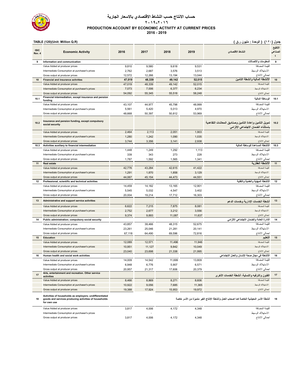

## **حساب االنتاج حسب النشاط االقتصادي باالسعار الجارية PRODUCTION ACCOUNT BY ECONOMIC ACTIVITY AT CURRENT PRICES ٢٠١٩-٢٠١٦ 2016 - 2019**

**جدول (١٢٠) ( الوحدة : مليون ر.ق ) (R.Q Million :Unit)(120 (TABLE** 

| <b>ISIC</b><br>Rev. 4 | <b>Economic Activity</b>                                                                                                        | 2016   | 2017   | 2018   | 2019   | النشاط الاقتصادى                                                                              | التنقيح<br>الصناعى |
|-----------------------|---------------------------------------------------------------------------------------------------------------------------------|--------|--------|--------|--------|-----------------------------------------------------------------------------------------------|--------------------|
| 9                     | Information and communication                                                                                                   |        |        |        |        | المعلومات والاتصالات                                                                          | 9                  |
|                       | Value Added at producer prices                                                                                                  | 9,810  | 9,580  | 9,618  | 9,531  | القيمة المضافة                                                                                |                    |
|                       | Intermediate Consumption at purchaser's prices                                                                                  | 2,762  | 2,687  | 3,576  | 3,513  | الاستهلاك الوسيط                                                                              |                    |
|                       | Gross output at producer prices                                                                                                 | 12,572 | 12,266 | 13,194 | 13,044 | اجمالي الانتاج                                                                                |                    |
| 10                    | <b>Financial and insurance activities</b>                                                                                       | 47,019 | 48,339 | 49,142 | 52,015 | الأنشطة المالية وأنشطة التأمين                                                                | 10                 |
|                       | Value Added at producer prices                                                                                                  | 47,019 | 48,339 | 49,142 | 52,015 | القيمة المضافة                                                                                |                    |
|                       | Intermediate Consumption at purchaser's prices                                                                                  | 7,073  | 7,006  | 6,377  | 6,234  | الاستهلاك الوسيط                                                                              |                    |
|                       | Gross output at producer prices                                                                                                 | 54,092 | 55,345 | 55,518 | 58,248 | اجمالي الانتاج                                                                                |                    |
| 10.1                  | Financial intermediation, except insurance and pension<br>fundina                                                               |        |        |        |        | الوساطة المالية                                                                               | 10.1               |
|                       | Value Added at producer prices                                                                                                  | 43,107 | 44,977 | 45,798 | 48,999 | القيمة المضافة                                                                                |                    |
|                       | Intermediate Consumption at purchaser's prices                                                                                  | 5,561  | 5,420  | 5,013  | 4,970  | الاستهلاك الوسيط                                                                              |                    |
|                       | Gross output at producer prices                                                                                                 | 48,668 | 50,397 | 50,812 | 53,969 | اجمالي الانتاج                                                                                |                    |
| 10.2                  | Insurance and pension funding, except compulsory<br>social security                                                             |        |        |        |        | تمويل التأمين وإعادة التأمين وصناديق المعاشات التقاعدية<br>باستثناء الضمان الاجتماعي الإلزامي | 10.2               |
|                       | Value Added at producer prices                                                                                                  | 2,464  | 2,113  | 2,051  | 1,903  |                                                                                               |                    |
|                       | Intermediate Consumption at purchaser's prices                                                                                  | 1,280  | 1,242  | 1,090  | 1,035  | الاستهلاك الوسيط                                                                              |                    |
|                       | Gross output at producer prices                                                                                                 | 3,744  | 3,356  | 3,141  | 2,938  | اجمالي الانتاج                                                                                |                    |
| 10.3                  | Activities auxiliary to financial intermediation                                                                                |        |        |        |        | الانشطة المساعدة للوساطة المالبة                                                              | 10.3               |
|                       | Value Added at producer prices                                                                                                  | 1,448  | 1,249  | 1,292  | 1,113  | القيمة المضافة                                                                                |                    |
|                       | Intermediate Consumption at purchaser's prices                                                                                  | 339    | 343    | 273    | 228    | الاستهلاك الوسيط                                                                              |                    |
|                       | Gross output at producer prices                                                                                                 | 1,787  | 1,592  | 1,565  | 1,341  | اجمالي الانتاج                                                                                |                    |
| 11                    | <b>Real estate</b>                                                                                                              |        |        |        |        | الانشطة العقار بة                                                                             | 11                 |
|                       | Value Added at producer prices                                                                                                  | 42,776 | 43,284 | 42,615 | 41,422 | القيمة المضافة                                                                                |                    |
|                       | Intermediate Consumption at purchaser's prices                                                                                  | 1,291  | 1,870  | 1,858  | 3,129  | الاستهلاك الوسيط                                                                              |                    |
|                       | Gross output at producer prices                                                                                                 | 44,067 | 45,154 | 44,473 | 44,551 | اجمالي الانتاج                                                                                |                    |
| 12                    | Professional, scientific and technical activities                                                                               |        |        |        |        | الانشطة المهنية والعلمية والتقنية                                                             | 12                 |
|                       | Value Added at producer prices                                                                                                  | 14,459 | 14,182 | 13,165 | 12,901 | القيمة المضافة                                                                                |                    |
|                       | Intermediate Consumption at purchaser's prices                                                                                  | 5,545  | 5,032  | 4,547  | 3,402  | الاستهلاك الوسيط                                                                              |                    |
|                       | Gross output at producer prices                                                                                                 | 20,004 | 19,214 | 17,712 | 16,303 | اجمالي الانتاج                                                                                |                    |
| 13                    | Administrative and support service activities                                                                                   |        |        |        |        | أنشطة الخدمات الإدارية وخدمات الدعم                                                           | 13                 |
|                       | Value Added at producer prices                                                                                                  | 6,622  | 7,215  | 7,875  | 8,081  | القمة المضافة                                                                                 |                    |
|                       | Intermediate Consumption at purchaser's prices                                                                                  | 2,752  | 2,677  | 3,212  | 3,556  | الاستهلاك الوسيط                                                                              |                    |
|                       | Gross output at producer prices                                                                                                 | 9,374  | 9,893  | 11,087 | 11,637 | اجمالي الانتاج                                                                                |                    |
| 14                    | Public administration; compulsory social security                                                                               |        |        |        |        | الادارة العامة والضمان الاجتماعي الالزامي                                                     | 14                 |
|                       | Value Added at producer prices                                                                                                  | 43,857 | 39,466 | 48,315 | 52,675 | القيمة المضافة                                                                                |                    |
|                       | Intermediate Consumption at purchaser's prices                                                                                  | 23,261 | 25,046 | 21,281 | 20,141 | الاستهلاك الوسيط                                                                              |                    |
|                       | Gross output at producer prices                                                                                                 | 67,118 | 64,490 | 69,596 | 72,816 | اجمالي الانتاج                                                                                |                    |
| 15                    | <b>Education</b>                                                                                                                |        |        |        |        | التعليم                                                                                       | 15                 |
|                       | Value Added at producer prices                                                                                                  | 12,089 | 12,571 | 11,496 | 11,946 | القمة المضافة                                                                                 |                    |
|                       | Intermediate Consumption at purchaser's prices                                                                                  | 10,951 | 11,127 | 9,842  | 10,049 | الاستهلاك الوسيط                                                                              |                    |
|                       | Gross output at producer prices                                                                                                 | 23,040 | 23,698 | 21,338 | 21,995 | اجمالي الانتاج                                                                                |                    |
| 16                    | Human health and social work activities                                                                                         |        |        |        |        | الأنشطة في مجال صحة الإنسان والعمل الاجتماعي                                                  | 16                 |
|                       | Value Added at producer prices                                                                                                  | 14,009 | 14,542 | 11,699 | 13,809 | القيمة المضافة                                                                                |                    |
|                       | Intermediate Consumption at purchaser's prices                                                                                  | 6,948  | 6,776  | 5,907  | 6,571  | الاستهلاك الوسيط                                                                              |                    |
|                       | Gross output at producer prices                                                                                                 | 20,957 | 21,317 | 17,606 | 20,379 | اجمالي الانتاج                                                                                |                    |
| 17                    | Arts, entertainment and recreation. Other service<br>activities                                                                 |        |        |        |        | الفنون والتر فبه والتسلية، أنشطة الخدمات الأخر ي                                              | 17                 |
|                       | Value Added at producer prices                                                                                                  | 8,466  | 8,869  | 8,271  | 8,606  | القيمة المضافة                                                                                |                    |
|                       | Intermediate Consumption at purchaser's prices                                                                                  | 10,922 | 9,056  | 7,685  | 11,365 | الاستهلاك الوسيط                                                                              |                    |
|                       | Gross output at producer prices                                                                                                 | 19,388 | 17,924 | 15,953 | 19,972 | اجمالي الانتاج                                                                                |                    |
| 18                    | Activities of households as employers; undifferentiated<br>goods and services producing activities of households<br>for own use |        |        |        |        | أنشطة الأسر المعيشية الخاصة كما اصحاب العمل وأنشطة الإنتاج الغير متميزة من الأسر خاصة         | 18                 |
|                       | Value Added at producer prices                                                                                                  | 3,817  | 4,006  | 4,172  | 4,348  | القيمة المضافة                                                                                |                    |
|                       | Intermediate Consumption at purchaser's prices                                                                                  |        |        |        |        | الاستهلاك الوسيط                                                                              |                    |
|                       | Gross output at producer prices                                                                                                 | 3,817  | 4,006  | 4,172  | 4,348  | اجمالي الانتاج                                                                                |                    |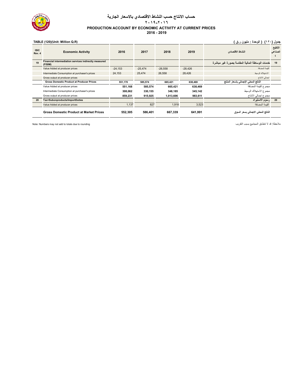

## **حساب االنتاج حسب النشاط االقتصادي باالسعار الجارية PRODUCTION ACCOUNT BY ECONOMIC ACTIVITY AT CURRENT PRICES ٢٠١٩-٢٠١٦ 2016 - 2019**

# **جدول (١٢٠) ( الوحدة : مليون ر.ق ) (R.Q Million :Unit)(120 (TABLE**

| <b>ISIC</b><br>Rev. 4 | <b>Economic Activity</b>                                         | 2016      | 2017      | 2018      | 2019      | النشاط الاقتصادي                               | التنقيح<br>الصناعى |
|-----------------------|------------------------------------------------------------------|-----------|-----------|-----------|-----------|------------------------------------------------|--------------------|
| 19                    | Financial intermediation services indirectly measured<br>(FISIM) |           |           |           |           | خدمات الوساطة المالية المقاسة بصورة غير مباشرة | 19                 |
|                       | Value Added at producer prices                                   | $-24.153$ | $-25.474$ | $-26.558$ | $-28.426$ | القمة المضافة                                  |                    |
|                       | Intermediate Consumption at purchaser's prices                   | 24.153    | 25.474    | 26.558    | 28,426    | الاستهلاك الوسيط                               |                    |
|                       | Gross output at producer prices                                  |           |           |           |           | اجمالي الانتاج                                 |                    |
|                       | <b>Gross Domestic Product at Producer Prices</b>                 | 551.170   | 585.574   | 665.421   | 638.469   | الناتج المحلى الإجمالي بأسعار المنتج           |                    |
|                       | Value Added at producer prices                                   | 551,168   | 585.574   | 665.421   | 638.469   | مجموع القيمة المضافة                           |                    |
|                       | Intermediate Consumption at purchaser's prices                   | 308.062   | 330,155   | 348.185   | 345,142   | مجموع الاستهلاك الوسيط                         |                    |
|                       | Gross output at producer prices                                  | 859.231   | 915,925   | 1.013.606 | 983.611   | مجموع اجمالي الانتاج                           |                    |
| 20                    | Tax+Subonproducts/ImportDuties                                   |           |           |           |           | رسوم الاستيراد                                 | 20                 |
|                       | Value Added at producer prices                                   | 1,137     | 827       | 1,918     | 3.523     | القيمة المضافة                                 |                    |
|                       | <b>Gross Domestic Product at Market Prices</b>                   | 552,305   | 586.401   | 667,339   | 641.991   | الناتج المحلى الاجمالي بسعر السوق              |                    |

ملاحظة: قد لا تتطابق المجاميع بسبب التقريب التقريب التقريب التقريب التقريب التقريب بسبب التقريب التقريب التقريب المجامع بسبب التقريب التقريب المجامع بسبب التقريب التقريب التقريب التقريب المجامع بسبب التقريب المجامع بسبب ا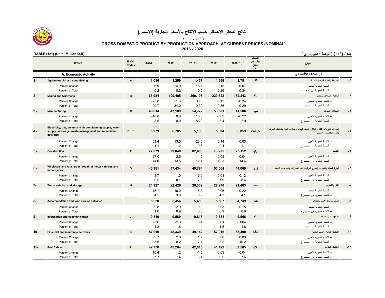

 **GROSS DOMESTIC PRODUCT BY PRODUCTION APPROACH AT CURRENT PRICES (NOMINAL)**

**2016 - 2020**

|        | <b>ITEMS</b>                                                                                                                   | ISIC4<br>Codes | 2016          | 2017           | 2018        | 2019*          | 2020**         | التصنيف<br>الاقتصادى<br>المنقح<br>$\mathbf{t}$ | البيان                                                                                                   |              |
|--------|--------------------------------------------------------------------------------------------------------------------------------|----------------|---------------|----------------|-------------|----------------|----------------|------------------------------------------------|----------------------------------------------------------------------------------------------------------|--------------|
|        | A. Economic Activity                                                                                                           |                |               |                |             |                |                |                                                | أ النشاط الاقتصادي                                                                                       |              |
| $1 -$  | Agriculture, forestry and fishing                                                                                              | $\mathsf{A}$   | 1.016         | 1.259          | 1.457       | 1.669          | 1.781          | ألف                                            | الزراعة والحراجة وصيد الأسماك                                                                            | - 1          |
|        | - Percent Change                                                                                                               |                | 6.9           | 24.0           | 15.7        | 0.15           | 0.07           |                                                | ۔۔ النسنة المئو بة للتغيير                                                                               |              |
|        | - Percent of Total                                                                                                             |                | 0.2           | 0.2            | 0.2         | 0.26           | 0.34           |                                                | -- النسبة المئوية من المجموع                                                                             |              |
| $2 -$  | <b>Mining and Quarrying</b>                                                                                                    | B              | 163,984       | 199,405        | 260,198     | 229,322        | 152,343        | باء                                            | التعدين واستغلال المحاجر                                                                                 |              |
|        | - Percent Change                                                                                                               |                | $-25.8$       | 21.6           | 30.5        | $-0.12$        | $-0.34$        |                                                | ۔۔ النسنة المئو بة للتغيير                                                                               |              |
|        | - Percent of Total                                                                                                             |                | 29.7          | 34.0           | 0.39        | 0.36           | 0.29           |                                                | -- النسنة المئوية من المجموع                                                                             |              |
| $3 -$  | <b>Manufacturing</b>                                                                                                           | <sub>c</sub>   | 46,814        | 47,189         | 54,972      | 53,501         | 41,586         | جيم                                            | الصناعة التحويلية                                                                                        | ۳ -          |
|        | - Percent Change                                                                                                               |                | $-10.8$       | 0.8            | 16.5        | $-0.03$        | $-0.22$        |                                                | -- النسبة المئوية للتغيير                                                                                |              |
|        | - Percent of Total                                                                                                             |                | 8.5           | 8.0            | 8.20        | 8.4            | 7.9            |                                                | -- النسبة المئوية من المجموع                                                                             |              |
| $4 -$  | Electricity, gas, steam and air conditioning supply; water<br>supply, sewerage, waste management and remediation<br>activities | $D + E$        | 5,979         | 6.785          | 5,180       | 5.894          | 6,053          | دال+هاء                                        | إمدادات الكهرياء والغاز والبخار وتكييف الهواء ، إمدادات المياه وأنشطة الصرف<br>وإدارة النفايات ومعالجتها |              |
|        | - Percent Change                                                                                                               |                | 51.4          | 13.5           | $-23.6$     | 0.14           | 0.03           |                                                | ۔۔ النسنة المئو بة للتغيير                                                                               |              |
|        | - Percent of Total                                                                                                             |                | 1.1           | 1.2            | 0.8         | 0.1            | 1.1            |                                                | -- النسبة المئوية من المجموع                                                                             |              |
| $5 -$  | <b>Construction</b>                                                                                                            | F.             | 77.079        | 79,040         | 82,600      | 78,275         | 75,112         | واو                                            | التشبيد                                                                                                  |              |
|        | - Percent Change                                                                                                               |                | 27.0          | 2.5            | 4.5         | $-0.05$        | $-0.04$        |                                                | ۔۔ النسنة المئو بة للتغيير                                                                               |              |
|        | - Percent of Total                                                                                                             |                | 14.0          | 13.5           | 12.4        | 12.3           | 14.4           |                                                | -- النسبة المئوية من المجموع                                                                             |              |
| $6 -$  | Wholesale and retail trade: repair of motor vehicles and<br>motorcycles                                                        | G              | 46.981        | 47.434         | 49.794      | 50.064         | 44.069         | زای                                            | تجارة الجملة والتجزئة؛ إصلاح المركبات ذات المحركات والدراجات النارية                                     |              |
|        | - Percent Change                                                                                                               |                | $-8.7$        | 1.0            | 5.0         | 0.01           | $-0.12$        |                                                | -- النسبة المئوية للتغيير                                                                                |              |
|        | - Percent of Total                                                                                                             |                | 8.5           | 8.1            | 7.5         | 7.9            | 8.4            |                                                | -- النسنة المئوية من المجموع                                                                             |              |
| $7-$   | <b>Transportation and storage</b>                                                                                              | н.             | 24,927        | 22,426         | 26,002      | 27,270         | 21,403         | حاء                                            | النقل والتخزين                                                                                           | $\mathsf{N}$ |
|        | - Percent Change<br>- Percent of Total                                                                                         |                | 15.1<br>4.5   | $-10.0$<br>3.8 | 15.9<br>3.9 | 0.05<br>4.3    | $-0.22$<br>4.1 |                                                | -- النسبة المئوية للتغيير<br>-- النسبة المئوية من المجموع                                                |              |
|        |                                                                                                                                |                |               |                |             |                |                |                                                |                                                                                                          |              |
| $8-$   | Accommodation and food service activities                                                                                      |                | 5,620         | 5,456          | 5,409       | 5,567          | 4,739          | طاء                                            | أنشطة خدمات الاقامة والطعام                                                                              |              |
|        | - Percent Change                                                                                                               |                | $-9.8$        | $-2.9$         | $-0.9$      | 0.03           | $-0.15$        |                                                | ۔۔ النسنة المئو بة للتغيير                                                                               |              |
|        | - Percent of Total                                                                                                             |                | 1.0           | 0.9            | 0.8         | 0.9            | 0.9            |                                                | ــ النسبة المئوية من المجمو ع                                                                            |              |
| $9-$   | Information and communication                                                                                                  | $\mathbf{J}$   | 9.810         | 9.580          | 9.618       | 9.531          | 9,566          | ياء                                            | المعلومات والاتصالات                                                                                     | $-9$         |
|        | - Percent Change<br>- Percent of Total                                                                                         |                | $-3.0$<br>1.8 | $-2.3$<br>1.6  | 0.4<br>1.4  | $-0.01$<br>1.5 | 0.004<br>1.8   |                                                | -- النسبة المئوية للتغيير<br>ــ النسبة المئوية من المجموع                                                |              |
| $10 -$ | <b>Financial and insurance activities</b>                                                                                      | K              | 47,019        | 48,339         | 49,142      | 52,015         | 53,490         | كاف                                            | الأنشطة المالبة وأنشطة التأمين                                                                           | $-1.$        |
|        |                                                                                                                                |                | 3.7           | 2.8            | 1.7         | 0.06           | 0.03           |                                                | ۔۔ النسنة المئو بة للتغيير                                                                               |              |
|        | - Percent Change<br>- Percent of Total                                                                                         |                | 8.5           | 8.2            | 7.4         | 8.2            | 10.2           |                                                | ــ النسبة المئوية من المجمو ع                                                                            |              |
| $11 -$ | <b>Real Estate</b>                                                                                                             | L.             | 42,776        | 43.284         | 42.615      | 41.422         | 39,585         | لام                                            | الأشطة العقارية                                                                                          | $-11$        |
|        | - Percent Change                                                                                                               |                | 10.4          | 1.2            | $-1.5$      | $-0.03$        | $-0.04$        |                                                | -- النسبة المئوية للتغيير                                                                                |              |
|        | - Percent of Total                                                                                                             |                | 7.7           | 7.4            | 6.4         | 6.5            | 7.6            |                                                | -- النسبة المئوية من المجموع                                                                             |              |



**جدول (<sup>١٢١</sup>) ( الوحدة : مليون <sup>ر</sup>.ق ) (R.Q Million : Unit) (121 (TABLE**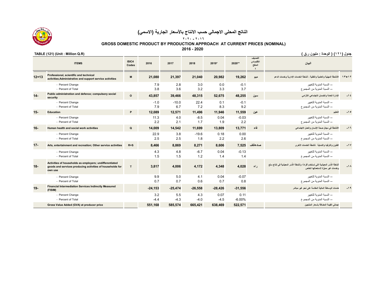

 **GROSS DOMESTIC PRODUCT BY PRODUCTION APPROACH AT CURRENT PRICES (NOMINAL)**

**2016 - 2020**

### **ISIC4 Codes <sup>2016</sup> <sup>2017</sup> <sup>2018</sup> 2019\* 2020\*\* التصنيف االقتصادي المنقح ٤البيان ITEMS 12+13**1۳+۱۲ الاتشطة العهنية والطعية والتقلية ، انشطة الضعنت الإشارية وخدمات النسمة سال 19,262 1,080 19,262 1,080 19,262 19,082 19,262 19,262 15 ميم مع 20,982 1.080 21,397 21,080 20,982 19,262 19,262 15 الأتشطة العهنية والطعية و -- النسبة المئوية للتغيير -0.1 0.0 3.0 2.8 7.9 Change Percent - -- النسبة المئوية من المجموع 3.7 3.3 3.2 3.6 3.8 Total of Percent - **14- Public administration and defence; compulsory social security <sup>O</sup> 43,857 39,466 48,315 52,675 48,255 سين االلزامي االجتماعي والضمان العامة اإلدارة -<sup>١٤</sup>** -- النسبة المئوية للتغيير --- النسبة المئوية للتغيير -0.1 1.0 --- 1.0 --- 1.0 --- 1.0 --- 1.0 --- 1.0 --- 1.0 --- 1.0 --- 1.0 --- 1.0 --- 1.0 --- 1.0 --- 1.0 --- 1.1 --- 1.1 --- 1.1 ---- النسبة المئوية من المجموع 9.2 8.3 7.2 6.7 7.9 Total of Percent - **-١٥ التعليم عين 11,559 11,946 11,496 12,571 12,089 <sup>P</sup> Education 15-** -- النسبة المئوية للتغيير -0.03 0.04 -8.5 4.0 11.3 Change Percent - -- النسبة المئوية من المجموع 2.2 1.9 1.7 2.1 2.2 Total of Percent - **-١٦**الأنشطة ف*ي* مجال صحة الانسا*ن* والعمل الاجتماعي **في مجال صحة اإلنسان والعمل االجتماعي فاء 13,771 13,809 11,699 14,542 14,009 <sup>Q</sup> activities work social and health Human 16-** -- النسبة المئوية للتغيير 0.00 0.18 -19.6 3.8 22.9 Change Percent - -- النسبة المئوية من المجموع 2.6 2.2 1.8 2.5 2.5 Total of Percent - **17-**المسلومة التعاقل المقال للخدمات الأفرى الترغية والتعاملية المسلوم المسلوم المسلوم المسلوم المسلوم المسلوم المسلوم المسلوم المسلوم المسلوم المسلوم المسلوم المسلوم المسلوم المسلوم المسلوم المسلوم المسلوم المسلوم المسلوم الم -- النسبة المئوية للتغيير -0.13 0.04 -6.7 4.8 4.3 Change Percent - -- النسبة المئوية من المجموع 1.4 1.4 1.2 1.5 1.5 Total of Percent - **18- Activities of households as employers; undifferentiated goods and services producing activities of households for own useَسر المعيشية في إنتاج سلعُ أنشطة األُ َسر المعيشية التي تستخدم أفراداً؛ وأنشطة األ راء 4,028 4,348 4,172 4,006 3,817 <sup>T</sup> -١٨ وخدمات غير َّ مميزة الستعمالھا الخاص**-- النسبة المئوية للتغيير -0.07 0.04 4.1 5.0 9.9 Change Percent - -- النسبة المئوية من المجموع 0.8 0.7 0.6 0.7 0.7 Total of Percent - **-١٩ خدمات الوساطة المالية المقاسة على نحو غير مباشر -31,556 -28,426 -26,558 -25,474 -24,153(Financial Intermediation Services Indirectly Measured Intermediation Services Indirectly Measured** -- النسبة المئوية للتغيير 0.11 0.07 4.3 5.5 3.2 Change Percent - -- النسبة المئوية من المجموع -- النسبة المئوية من المجموع -4.4 -4.3 -4.4 -4.5 -4.4 -4.5 -4.4 -4.5 - - - - - - -**Gross Value Added (GVA) at producer price 551,168 585,574 665,421 638,469 522,571 المنتجين بأسعار المضافة القيمة إجمالي**

**جدول (<sup>١٢١</sup>) ( الوحدة : مليون <sup>ر</sup>.ق ) (R.Q Million : Unit) (121 (TABLE** 

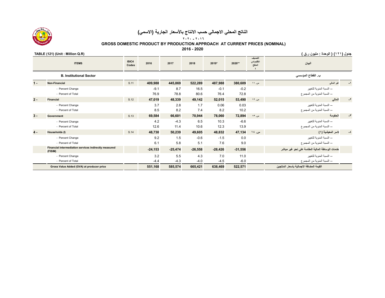

### **٢٠٢٠ - ٢٠١٦**

 **GROSS DOMESTIC PRODUCT BY PRODUCTION APPROACH AT CURRENT PRICES (NOMINAL)**

**2016 - 2020**

### **جدول (<sup>١٢١</sup>) ( الوحدة : مليون <sup>ر</sup>.ق ) (R.Q Million : Unit) (121 (TABLE**

|       | <b>ITEMS</b>                                                     | ISIC4<br>Codes | 2016           | 2017           | 2018          | 2019*          | 2020**         | التصنيف<br>الاقتصادي<br>المنقح | البيان                                                    |                                                     |
|-------|------------------------------------------------------------------|----------------|----------------|----------------|---------------|----------------|----------------|--------------------------------|-----------------------------------------------------------|-----------------------------------------------------|
|       | <b>B. Institutional Sector</b>                                   |                |                |                |               |                |                |                                | ب القطاع المؤسسي                                          |                                                     |
| $1 -$ | Non-Financial                                                    | S.11           | 409,988        | 445,869        | 522,289       | 487,988        | 380,609        | س. ۱۱                          | نحير المعالمى                                             |                                                     |
|       | - Percent Change<br>- Percent of Total                           |                | $-9.1$<br>76.9 | 8.7<br>78.8    | 16.5<br>80.6  | $-0.1$<br>76.4 | $-0.2$<br>72.8 |                                | -- النسبة المئوية للتغيير<br>-- النسبة المنوية من المجموع |                                                     |
| $2 -$ | <b>Financial</b>                                                 | S.12           | 47,019         | 48,339         | 49,142        | 52,015         | 53,490         | س ١٢                           | المالى                                                    | $-7$                                                |
|       | - Percent Change<br>- Percent of Total                           |                | 3.7<br>8.5     | 2.8<br>8.2     | 1.7<br>7.4    | 0.06<br>8.2    | 0.03<br>10.2   |                                | -- النسبة المئوية للتغيير<br>-- النسبة المنوية من المجموع |                                                     |
| $3 -$ | Government                                                       | S.13           | 69,584         | 66,601         | 70,944        | 78,060         | 72,894         | س ١٣                           | الحكومة                                                   | $-\tau$                                             |
|       | - Percent Change<br>- Percent of Total                           |                | 4.2<br>12.6    | $-4.3$<br>11.4 | 6.5<br>10.6   | 10.3<br>12.3   | $-6.6$<br>13.9 |                                | -- النسبة المئوية للتغيير<br>-- النسبة المئوية من المجموع |                                                     |
| $4 -$ | Households (I)                                                   | S.14           | 48,730         | 50,239         | 49,605        | 48,832         | 47,134         | س ١٤                           | لاسر المعيشية (١)                                         | $\mathrel{\mathop:} \mathrel{\mathrel{\mathsf{E}}}$ |
|       | - Percent Change<br>- Percent of Total                           |                | 9.2<br>6.1     | 1.5<br>5.8     | $-0.6$<br>5.1 | $-1.5$<br>7.6  | 0.0<br>9.0     |                                | -- النسبة المئوية للتغيير<br>-- النسبة المنوية من المجموع |                                                     |
|       | Financial intermediation services indirectly measured<br>(FISIM) |                | $-24,153$      | $-25,474$      | $-26,558$     | $-28,426$      | $-31,556$      |                                | خدمات الوساطة المالية المقاسة على نحو غير مباشر           |                                                     |
|       | - Percent Change                                                 |                | 3.2            | 5.5            | 4.3           | 7.0            | 11.0           |                                | -- النسبة المئوية للتغيير                                 |                                                     |
|       | - Percent of Total                                               |                | $-4.4$         | $-4.3$         | $-4.0$        | $-4.5$         | $-6.0$         |                                | -- النسبة المئوية من المجموع                              |                                                     |
|       | Gross Value Added (GVA) at producer price                        |                | 551,168        | 585,574        | 665,421       | 638,469        | 522,571        |                                | القيمة المضافة الاجمالية بأسعار المنتجين                  |                                                     |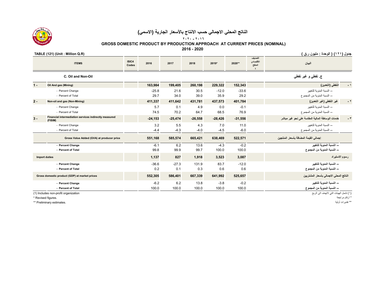

 **GROSS DOMESTIC PRODUCT BY PRODUCTION APPROACH AT CURRENT PRICES (NOMINAL)**

**2016 - 2020**

## **جدول (<sup>١٢١</sup>) ( الوحدة : مليون <sup>ر</sup>.ق ) (R.Q Million : Unit) (121 (TABLE**

|       | <b>ITEMS</b>                                                     | ISIC4<br>Codes | 2016       | 2017      | 2018      | 2019*     | 2020**    | التصنيف<br>الاقتصادى<br>المنقح | البيان                                                   |            |
|-------|------------------------------------------------------------------|----------------|------------|-----------|-----------|-----------|-----------|--------------------------------|----------------------------------------------------------|------------|
|       | C. Oil and Non-Oil                                               |                |            |           |           |           |           |                                | ج نفطي و غير نفطي                                        |            |
| $1 -$ | Oil And gas (Mining)                                             |                | 163,984    | 199,405   | 260,198   | 229,322   | 152,343   |                                | النفطي (التعدين)                                         | - 1        |
|       | - Percent Change                                                 |                | $-25.8$    | 21.6      | 30.5      | $-12.0$   | $-33.6$   |                                | -- النسبة المئوية للتغبير                                |            |
|       | - Percent of Total                                               |                | 29.7       | 34.0      | 39.0      | 35.9      | 29.2      |                                | ــ النسبة المئوية من المجموع                             |            |
| $2 -$ | Non-oil and gas (Non-Mining)                                     |                | 411,337    | 411,642   | 431,781   | 437,573   | 401,784   |                                | غير النفطي (غير التعدين)                                 | $ \,$ $\,$ |
|       | - Percent Change                                                 |                | 5.7        | 0.1       | 4.9       | 0.0       | $-0.1$    |                                | -- النسبة المئوية للتغبير                                |            |
|       | - Percent of Total                                               |                | 74.5       | 70.2      | 64.7      | 68.5      | 76.9      |                                | -- النسبة المئوية من المجموع                             |            |
| $3 -$ | Financial intermediation services indirectly measured<br>(FISIM) |                | $-24, 153$ | $-25,474$ | $-26,558$ | $-28,426$ | $-31,556$ |                                | خدمات الوساطة المالية المقاسة على نحو غير مباشر          |            |
|       | - Percent Change                                                 |                | 3.2        | 5.5       | 4.3       | 7.0       | 11.0      |                                | -- النسبة المئوية للتغيير                                |            |
|       | - Percent of Total                                               |                | $-4.4$     | $-4.3$    | $-4.0$    | $-4.5$    | $-6.0$    |                                | -- النسبة المئوية من المجموع                             |            |
|       | Gross Value Added (GVA) at producer price                        |                | 551,168    | 585,574   | 665,421   | 638,469   | 522,571   |                                | إجمالي القيمة المضافة بأسعار المنتجين                    |            |
|       | - Percent Change                                                 |                | $-6.1$     | 6.2       | 13.6      | $-4.3$    | $-0.2$    |                                | -- النسبة المنوبة للتغير                                 |            |
|       | - Percent of Total                                               |                | 99.8       | 99.9      | 99.7      | 100.0     | 100.0     |                                | -- النسبة المنوية من المجموع                             |            |
|       | <b>Import duties</b>                                             |                | 1,137      | 827       | 1,918     | 3,523     | 3,087     |                                | رسوم الاستيراد                                           |            |
|       | - Percent Change                                                 |                | $-36.6$    | $-27.3$   | 131.9     | 83.7      | $-12.0$   |                                | ۔۔ النسبة المنوية للتغيير                                |            |
|       | - Percent of Total                                               |                | 0.2        | 0.1       | 0.3       | 0.6       | 0.6       |                                | -- النسبة المنوية من المجموع                             |            |
|       | Gross domestic product (GDP) at market prices                    |                | 552,305    | 586,401   | 667,339   | 641,992   | 525,657   |                                | الناتج المحلي الاجمالي بأسعار المشتريين                  |            |
|       | - Percent Change                                                 |                | $-6.2$     | 6.2       | 13.8      | $-3.8$    | $-0.2$    |                                | ۔۔ النسبة المنوية للتغيير                                |            |
|       | - Percent of Total                                               |                | 100.0      | 100.0     | 100.0     | 100.0     | 100.0     |                                | -- النسبة المنوية من المجموع                             |            |
|       | (1) Includes non-profit organization<br>* Revised figures.       |                |            |           |           |           |           |                                | (١) تشمل الهيئات التي لاتهدف الى الربح<br>* أرقام مراجعة |            |

\*\* Preliminary estimates.

|  | . .<br>__<br>$\epsilon$ | ٠ | ا ١ اله حدة | $\cdots$ | ۳ | $\cdots$ |  |
|--|-------------------------|---|-------------|----------|---|----------|--|
|  |                         |   |             |          |   |          |  |

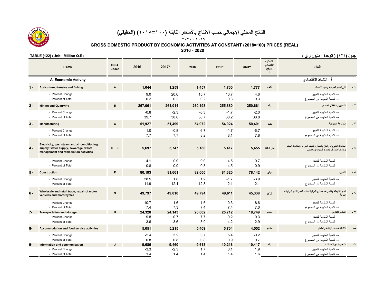**٢٠٢٠ - ٢٠١٦**

 **GROSS DOMESTIC PRODUCT BY ECONOMIC ACTIVITIES AT CONSTANT (2018=100) PRICES (REAL)**

**2016 - 2020**

|       | <b>ITEMS</b>                                                                                                                   | ISIC4<br>Codes | 2016                   | 2017*                  | 2018                | 2019*                | 2020**               | التصنيف<br>الاقتصادى<br>المنقح<br>$\epsilon$ | البيان                                                                                                   |            |
|-------|--------------------------------------------------------------------------------------------------------------------------------|----------------|------------------------|------------------------|---------------------|----------------------|----------------------|----------------------------------------------|----------------------------------------------------------------------------------------------------------|------------|
|       | A. Economic Activity                                                                                                           |                |                        |                        |                     |                      |                      |                                              | أ النشاط الاقتصادي                                                                                       |            |
|       | Agriculture, forestry and fishing                                                                                              | A              | 1.044                  | 1,259                  | 1,457               | 1,700                | 1,777                | ألف                                          | الزراعة والحراجة وصيد الأسماك                                                                            |            |
|       | - Percent Change<br>- Percent of Total                                                                                         |                | 9.0<br>0.2             | 20.6<br>0.2            | 15.7<br>0.2         | 16.7<br>0.3          | 4.6<br>0.3           |                                              | -- النسبة المئوية للتغيير<br>-- النسبة المئوية من المجمو ع                                               |            |
| $2 -$ | <b>Mining and Quarrying</b>                                                                                                    | R              | 267.061                | 261,014                | 260,198             | 255,880              | 250,661              | باء                                          | التعدين واستغلال المحاجر                                                                                 |            |
|       | - Percent Change<br>- Percent of Total                                                                                         |                | $-0.8$<br>39.7         | $-2.3$<br>38.8         | $-0.3$<br>38.7      | $-1.7$<br>38.2       | $-2.0$<br>38.8       |                                              | -- النسبة المئوية للتغيير<br>-- النسبة المئوية من المجموع                                                |            |
| $3 -$ | <b>Manufacturing</b>                                                                                                           | <sub>c</sub>   | 51,927                 | 51,499                 | 54,972              | 54,024               | 50,401               | جيم                                          | الصناعة التحويلية                                                                                        |            |
|       | - Percent Change<br>- Percent of Total                                                                                         |                | 1.0<br>7.7             | $-0.8$<br>7.7          | 6.7<br>8.2          | $-1.7$<br>8.1        | $-6.7$<br>7.8        |                                              | -- النسبة المئوية للتغبير<br>-- النسبة المئوية من المجموع                                                |            |
| $4 -$ | Electricity, gas, steam and air conditioning<br>supply; water supply, sewerage, waste<br>management and remediation activities | $D + E$        | 5,697                  | 5,747                  | 5,180               | 5,417                | 5,455                | دال+هاء                                      | إمدادات الكهرباء والغاز والبخار وتكييف الهواء ، إمدادات المياه<br>وأنشطة الصرف وإدارة النفايات ومعالجتها |            |
|       | - Percent Change<br>- Percent of Total                                                                                         |                | 4.1<br>0.8             | 0.9<br>0.9             | $-9.9$<br>0.8       | 4.5<br>4.5           | 0.7<br>0.9           |                                              | -- النسبة المئوية للتغيير<br>-- النسبة المئوية من المجمو ع                                               |            |
| $5 -$ | <b>Construction</b>                                                                                                            | F              | 80,193                 | 81,661                 | 82,600              | 81,320               | 78,142               | واو                                          |                                                                                                          |            |
|       | - Percent Change<br>- Percent of Total                                                                                         |                | 28.5<br>11.9           | 1.8<br>12.1            | 1.2<br>12.3         | $-1.7$<br>12.1       | $-3.9$<br>12.1       |                                              | -- النسبة المئوية للتغيير<br>-- النسبة المئوية من المجموع                                                |            |
| $6 -$ | Wholesale and retail trade; repair of motor<br>vehicles and motorcycles                                                        | G              | 49.797                 | 49.010                 | 49,794              | 49,611               | 45,338               | زای                                          | نجارة الجملة والتجزئة؛ إصلاح المركبات ذات المحركات والدراجات<br>الفارية                                  |            |
|       | - Percent Change<br>- Percent of Total                                                                                         |                | $-10.7$<br>7.4         | $-1.6$<br>7.3          | 1.6<br>7.4          | $-0.3$<br>7.4        | $-8.6$<br>7.0        |                                              | -- النسبة المئوية للتغيير<br>-- النسبة المئوية من المجموع                                                |            |
| $7-$  | <b>Transportation and storage</b>                                                                                              |                | 24,320<br>9.8          | 24,143<br>$-0.7$       | 26,002<br>7.7       | 25,712<br>9.2        | 18,749<br>$-0.3$     | حاء                                          | النفل والتخزين<br>-- النسبة المئوية للتغيير                                                              |            |
|       | - Percent Change<br>- Percent of Total                                                                                         |                | 3.6                    | 3.6                    | 3.9                 | 4.2                  | 2.9                  |                                              | -- النسبة المئوية من المجموع                                                                             |            |
| $8-$  | <b>Accommodation and food service activities</b>                                                                               |                | 5,051                  | 5,215                  | 5,409               | 5,704                | 4,552                | طاء                                          | أنشطة خدمات الإقامة والطعام                                                                              | $-\lambda$ |
|       | - Percent Change<br>- Percent of Total                                                                                         |                | $-2.4$<br>0.8          | 3.2<br>0.8             | 3.7<br>0.8          | 5.4<br>0.9           | $-0.2$<br>0.7        |                                              | -- النسبة المئوية للتغبير<br>-- النسبة المئوية من المجموع                                                |            |
| $9-$  | Information and communication<br>- Percent Change<br>- Percent of Total                                                        |                | 9,686<br>$-3.3$<br>1.4 | 9,460<br>$-2.3$<br>1.4 | 9,618<br>1.7<br>1.4 | 10,218<br>0.1<br>1.4 | 10,417<br>1.9<br>1.6 | ياء                                          | المعلومات والاتصالات<br>-- النسبة المئوية للتغبير<br>-- النسبة المئوية من المجموع                        |            |

**جدول (<sup>١٢٢</sup>) ( الوحدة : مليون <sup>ر</sup>.ق ) (R.Q Million : Unit) (122 (TABLE** 

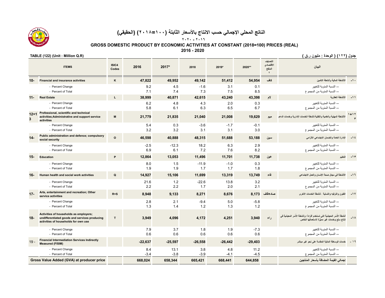**٢٠٢٠ - ٢٠١٦**

 **GROSS DOMESTIC PRODUCT BY ECONOMIC ACTIVITIES AT CONSTANT (2018=100) PRICES (REAL)**

**2016 - 2020**

|               | <b>ITEMS</b>                                                                                                                    | ISIC4<br>Codes | 2016          | 2017*          | 2018           | 2019*         | 2020**         | التصنيف<br>الاقتصادى<br>المنقح<br>$\epsilon$ | البيان                                                                                                                   |          |
|---------------|---------------------------------------------------------------------------------------------------------------------------------|----------------|---------------|----------------|----------------|---------------|----------------|----------------------------------------------|--------------------------------------------------------------------------------------------------------------------------|----------|
| $10-$         | <b>Financial and insurance activities</b>                                                                                       | κ              | 47.822        | 49,952         | 49,142         | 51,412        | 54,954         | كاف                                          | الأنشطة المالية وأنشطة التأمين                                                                                           |          |
|               | - Percent Change<br>- Percent of Total                                                                                          |                | 9.2<br>7.1    | 4.5<br>7.4     | $-1.6$<br>7.3  | 3.1<br>7.5    | 0.1<br>8.5     |                                              | -- النسبة المئوية للتغيير<br>-- النسبة المئوية من المجموع                                                                |          |
| $11 -$        | <b>Real Estate</b>                                                                                                              |                | 38,999        | 40,871         | 42,615         | 43,240        | 43,398         | لام                                          | الأنشطة العقارية                                                                                                         | $-11$    |
|               | - Percent Change<br>- Percent of Total                                                                                          |                | 6.2<br>5.8    | 4.8<br>6.1     | 4.3<br>6.3     | 2.0<br>6.5    | 0.3<br>6.7     |                                              | -- النسبة المئوية للتغيير<br>ــ النسبة المئوية من المجمو ع                                                               |          |
| $12 + 1$<br>3 | Professional, scientific and technical<br>activities; Administrative and support service<br>activities                          | M              | 21,779        | 21,835         | 21.040         | 21,008        | 19.629         | میم                                          | الأنشطة المهنية والعلمية والتقنية،أنشطة الخدمات الادارية وخدمات الدعم                                                    | $1 + 17$ |
|               | - Percent Change<br>- Percent of Total                                                                                          |                | 5.4<br>3.2    | 0.3<br>3.2     | $-3.6$<br>3.1  | $-1.7$<br>3.1 | $-0.1$<br>3.0  |                                              | -- النسبة المئوية للتغيير<br>-- النسبة المئوية من المجموع                                                                |          |
| $14-$         | Public administration and defence; compulsory<br>social security                                                                | $\Omega$       | 46,598        | 40,888         | 48,315         | 51,688        | 53,188         | سين                                          | الإدارة العامة والضمان الاجتماعى الالزامى                                                                                | $-1t$    |
|               | - Percent Change<br>- Percent of Total                                                                                          |                | $-2.5$<br>6.9 | $-12.3$<br>6.1 | 18.2<br>7.2    | 6.3<br>7.6    | 2.9<br>8.2     |                                              | -- النسبة المئوية للتغيير<br>-- النسبة المئوية من المجموع                                                                |          |
| $15 -$        | <b>Education</b>                                                                                                                | P              | 12,864        | 13,053         | 11,496         | 11,701        | 11,738         | عين                                          | التعليم                                                                                                                  | $-10$    |
|               | - Percent Change<br>- Percent of Total                                                                                          |                | 8.0<br>1.9    | 1.5<br>1.9     | $-11.9$<br>1.7 | $-1.0$<br>1.7 | 0.3<br>1.8     |                                              | -- النسبة المئوية للتغيير<br>-- النسبة المئوية من المجموع                                                                |          |
| $16 -$        | Human health and social work activities                                                                                         | $\Omega$       | 14,927        | 15,106         | 11,699         | 13,319        | 13,749         | فاء                                          | الأنشطة في مجال صحة الإنسان والعمل الاجتماعي                                                                             | ۱٦.      |
|               | - Percent Change<br>- Percent of Total                                                                                          |                | 21.6<br>2.2   | 1.2<br>2.2     | $-22.6$<br>1.7 | 13.8<br>2.0   | 3.2<br>2.1     |                                              | -- النسبة المئوية للتغبير<br>-- النسبة المئوية من المجموع                                                                |          |
| $17 -$        | Arts, entertainment and recreation; Other<br>service activities                                                                 | $R + S$        | 8,948         | 9,133          | 8,271          | 8,676         | 8,173          | صاد+قاف                                      | الفنون والترفيه والتسلية ،أنشطة الخدمات الأخرى                                                                           | $-1V$    |
|               | - Percent Change<br>- Percent of Total                                                                                          |                | 2.8<br>1.3    | 2.1<br>1.4     | $-9.4$<br>1.2  | 5.0<br>1.3    | $-5.8$<br>1.2  |                                              | -- النسبة المئوية للتغيير<br>-- النسبة المئوية من المجموع                                                                |          |
| $18-$         | Activities of households as employers;<br>undifferentiated goods and services producing<br>activities of households for own use | T              | 3,949         | 4,096          | 4,172          | 4,251         | 3,940          | راء                                          | أنشطة الأُسَر المعيشية التي تستخدم أفراداً؛ وأنشطة الأُسَر المعيشية في<br>إنتاج سلع وخدمات عير ممَّيْرة لاستعمالها الخاص | ۸ ۱ ـ    |
|               | - Percent Change<br>- Percent of Total                                                                                          |                | 7.9<br>0.6    | 3.7<br>0.6     | 1.8<br>0.6     | 1.9<br>0.6    | $-7.3$<br>0.6  |                                              | -- النسبة المئوبة للتغبير<br>-- النسبة المئوية من المجموع                                                                |          |
| $19 -$        | <b>Financial Intermediation Services Indirectly</b><br><b>Measured (FISIM)</b>                                                  |                | $-22,637$     | $-25,597$      | $-26,558$      | $-26,442$     | $-29,403$      |                                              | خدمات الوساطة المالية المقاسة على نحو غير مباشر                                                                          |          |
|               | - Percent Change<br>- Percent of Total                                                                                          |                | 8.4<br>$-3.4$ | 13.1<br>$-3.8$ | 3.8<br>$-3.9$  | 4.8<br>$-4.1$ | 11.2<br>$-4.5$ |                                              | -- النسبة المئوية للتغيير<br>-- النسبة المئوية من المجموع                                                                |          |
|               | Gross Value Added (GVA) at producer price                                                                                       |                | 668,024       | 658,344        | 665,421        | 668,441       | 644,858        |                                              | إجمالي الفيمة المضافة بأسعار المنتجين                                                                                    |          |



**جدول (<sup>١٢٢</sup>) ( الوحدة : مليون <sup>ر</sup>.ق ) (R.Q Million : Unit) (122 (TABLE**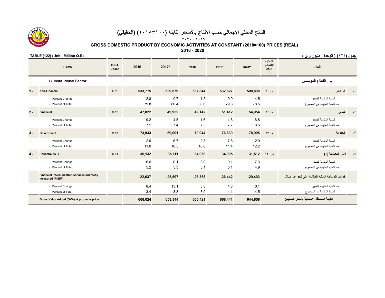**٢٠٢٠ - ٢٠١٦**

 **GROSS DOMESTIC PRODUCT BY ECONOMIC ACTIVITIES AT CONSTANT (2018=100) PRICES (REAL)**

**2016 - 2020**

|       | <b>ITEMS</b>                                                            | ISIC4<br>Codes | 2016          | 2017*          | 2018          | 2019*          | 2020**         | التصنيف<br>الاقتصادى<br>المنقح | البيان                                                    |      |  |
|-------|-------------------------------------------------------------------------|----------------|---------------|----------------|---------------|----------------|----------------|--------------------------------|-----------------------------------------------------------|------|--|
|       | <b>B. Institutional Sector</b>                                          |                |               |                |               |                |                |                                | ب . القطاع المؤسسي                                        |      |  |
| $1 -$ | <b>Non-Financial</b>                                                    | S.11           | 533,775       | 529,879        | 537,844       | 532,827        | 508,890        | س. ١١                          | غير المالس                                                |      |  |
|       | - Percent Change<br>- Percent of Total                                  |                | 2.8<br>79.8   | $-0.7$<br>80.4 | 1.5<br>80.6   | $-0.9$<br>79.3 | $-4.5$<br>78.5 |                                | -- النسبة المئوية للتغيير<br>-- النسبة المئوية من المجموع |      |  |
| $2 -$ | <b>Financial</b>                                                        | S.12           | 47,822        | 49,952         | 49,142        | 51,412         | 54,954         | س ۱۲                           | المالي                                                    |      |  |
|       | - Percent Change<br>- Percent of Total                                  |                | 9.2<br>7.1    | 4.5<br>7.4     | $-1.6$<br>7.3 | 4.6<br>7.7     | 6.8<br>8.5     |                                | -- النسبة المئوية للتغيير<br>-- النسبة المئوية من المجموع |      |  |
| $3 -$ | <b>Government</b>                                                       | S.13           | 73,933        | 69,001         | 70,944        | 76,639         | 78,905         | س ١٣                           | الحكومة                                                   |      |  |
|       | - Percent Change<br>- Percent of Total                                  |                | 2.6<br>11.0   | $-6.7$<br>10.5 | 2.8<br>10.6   | 7.8<br>11.4    | 2.9<br>12.2    |                                | -- النسبة المئوية للتغيير<br>-- النسبة المئوية من المجموع |      |  |
| $4 -$ | Households (I)                                                          | S.14           | 35,132        | 35,111         | 34,050        | 34,005         | 31,512         | س ١٤                           | لاسر المعيشية (١)                                         | $-5$ |  |
|       | - Percent Change<br>- Percent of Total                                  |                | 6.6<br>5.2    | $-0.1$<br>5.3  | $-3.0$<br>5.1 | $-0.1$<br>5.1  | $-7.3$<br>4.9  |                                | -- النسبة المئوية للتغيير<br>ــ النسبة المئوية من المجموع |      |  |
|       | <b>Financial intermediation services indirectly</b><br>measured (FISIM) |                | $-22,637$     | $-25,597$      | $-26,558$     | $-26,442$      | $-29,403$      |                                | خدمات الوساطة المالية المقاسة على نحو غير مباشر           |      |  |
|       | - Percent Change<br>- Percent of Total                                  |                | 8.4<br>$-3.4$ | 13.1<br>$-3.8$ | 3.8<br>$-3.9$ | 4.8<br>$-4.1$  | 0.1<br>$-4.5$  |                                | -- النسبة المئوية للتغيير<br>-- النسبة المئوية من المجموع |      |  |
|       | Gross Value Added (GVA) at producer price                               |                | 668,024       | 658,344        | 665,421       | 668,441        | 644,858        |                                | القيمة المضافة الاجمالية بأسعار المنتجين                  |      |  |

**جدول (<sup>١٢٢</sup>) ( الوحدة : مليون <sup>ر</sup>.ق ) (R.Q Million : Unit) (122 (TABLE** 

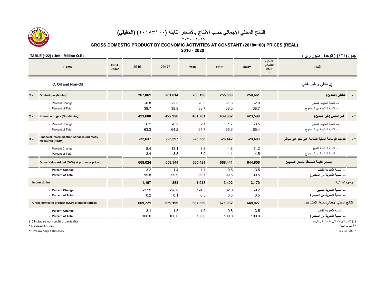**٢٠٢٠ - ٢٠١٦**

 **GROSS DOMESTIC PRODUCT BY ECONOMIC ACTIVITIES AT CONSTANT (2018=100) PRICES (REAL)**

**2016 - 2020**

| TABLE (122) (Unit : Million Q.R) | جدول (١٢٢) ( الوحدة : مليون ر.ق ) |  |  |
|----------------------------------|-----------------------------------|--|--|
|                                  |                                   |  |  |

|                                               | <b>ITEMS</b>                                                     | ISIC4<br>Codes | 2016           | 2017*           | 2018           | 2019*          | 2020**          | التصنيف<br>الاقتصادي<br>المنفح<br>$\epsilon$ | البيان                                                    |
|-----------------------------------------------|------------------------------------------------------------------|----------------|----------------|-----------------|----------------|----------------|-----------------|----------------------------------------------|-----------------------------------------------------------|
|                                               | C. Oil and Non-Oil                                               |                |                |                 |                |                |                 |                                              | ج. نفطي و غير نفطي                                        |
| $1 -$                                         | Oil And gas (Mining)                                             |                | 267,061        | 261,014         | 260,198        | 255,880        | 250,661         |                                              | النفطي (التعدين)<br>$-1$                                  |
|                                               | - Percent Change<br>- Percent of Total                           |                | $-0.8$<br>39.7 | $-2.3$<br>38.8  | $-0.3$<br>38.7 | $-1.8$<br>38.0 | $-2.0$<br>38.7  |                                              | -- النسبة المئوية للتغيير<br>-- النسبة المئوية من المجموع |
| $2 -$                                         | Non-oil and gas (Non-Mining)                                     |                | 423,600        | 422,928         | 431,781        | 439,002        | 423,599         |                                              | $-1$<br>غير النفطي (غير التعدين)                          |
|                                               | - Percent Change<br>- Percent of Total                           |                | 6.2<br>63.3    | $-0.2$<br>64.2  | 2.1<br>64.7    | 1.7<br>65.6    | $-3.5$<br>65.4  |                                              | -- النسبة المئوية للتغيير<br>-- النسبة المئوية من المجموع |
| $3 -$                                         | Financial intermediation services indirectly<br>measured (FISIM) |                | $-22,637$      | $-25,597$       | $-26,558$      | $-26,442$      | $-29,403$       |                                              | خدمات الوساطة المالية المقاسة على نحو غير مباشر<br>$-1$   |
|                                               | - Percent Change<br>- Percent of Total                           |                | 8.4<br>$-3.4$  | 13.1<br>$-3.8$  | 3.8<br>$-3.9$  | 4.8<br>$-4.1$  | 11.2<br>$-4.5$  |                                              | -- النسبة المئوية للتغيير<br>-- النسبة المئوية من المجموع |
|                                               | Gross Value Added (GVA) at producer price                        |                | 668,024        | 658,344         | 665,421        | 668,441        | 644,858         |                                              | إجمالي القيمة المضافة بأسعار المنتجين                     |
|                                               | - Percent Change<br>- Percent of Total                           |                | 3.2<br>99.8    | $-1.4$<br>99.9  | 1.1<br>99.7    | 0.5<br>99.5    | $-3.5$<br>99.5  |                                              | -- النسبة المنوبة للتغير<br>-- النسبة المنوية من المجموع  |
|                                               | <b>Import duties</b>                                             |                | 1,197          | 854             | 1,918          | 3,492          | 3,170           |                                              | رسوم الاستيراد                                            |
|                                               | - Percent Change<br>- Percent of Total                           |                | $-37.9$<br>0.2 | $-28.6$<br>0.1  | 124.5<br>0.3   | 82.0<br>0.5    | $-9.2$<br>0.5   |                                              | -- النسبة المنوية للتغيير<br>-- النسبة المنوية من المجموع |
| Gross domestic product (GDP) at market prices |                                                                  |                | 669,221        | 659,199         | 667,339        | 671,932        | 648,027         |                                              | الناتج المحلى الاجمالى بأسعار المشتريين                   |
| - Percent Change<br>- Percent of Total        |                                                                  |                | 3.1<br>100.0   | $-1.5$<br>100.0 | 1.2<br>100.0   | 0.8<br>100.0   | $-3.5$<br>100.0 |                                              | -- النسبة المنوية للتغيير<br>-- النسبة المنوية من المجموع |
|                                               | (1) Includes non-profit organization                             |                |                |                 |                |                |                 |                                              | (١) تشمل الهيئات التي لاتهدف الى الربح                    |

\*\* Preliminary estimates.

\* أرقام مراجعة .figures Revised\*

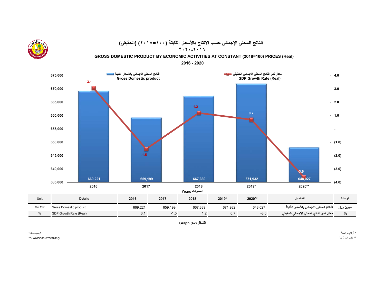

**الشكل (42) Graph**

*Preliminary/Provisional\*\** 

\* أرقام مراجعة *Revised\**  \*\* تقديرات أولية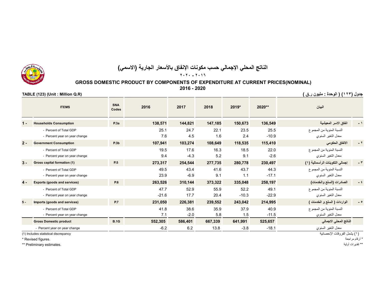

# **الناتج المحلي اإلجمالي حسب مكونات اإلنفاق باألسعار الجارية (االسمي)**

**٢٠٢٠ - ٢٠١٦**

# **GROSS DOMESTIC PRODUCT BY COMPONENTS OF EXPENDITURE AT CURRENT PRICES(NOMINAL)**

**2016 - 2020**

**جدول (<sup>١٢٣</sup>) ( الوحدة : مليون <sup>ر</sup>.ق ) (R.Q Million : Unit) (123 (TABLE**

|       | <b>ITEMS</b>                        | <b>SNA</b><br>Codes | 2016    | 2017    | 2018    | 2019*   | 2020**  | البيان                          |             |
|-------|-------------------------------------|---------------------|---------|---------|---------|---------|---------|---------------------------------|-------------|
| $1 -$ | <b>Households Consumption</b>       | P.3a                | 138,571 | 144,821 | 147,185 | 150,673 | 136,549 | انفاق الاسر المعيشية            | - 1         |
|       | - Percent of Total GDP              |                     | 25.1    | 24.7    | 22.1    | 23.5    | 25.5    | النسبة المئوية من المجموع       |             |
|       | - Percent year on year change       |                     | 7.6     | 4.5     | 1.6     | 2.4     | $-10.9$ | معدل التغير السنوي              |             |
| $2 -$ | <b>Government Consumption</b>       | P.3b                | 107,941 | 103,274 | 108,649 | 118,535 | 115,410 | الانفاق الحكومي                 | - ۲         |
|       | - Percent of Total GDP              |                     | 19.5    | 17.6    | 16.3    | 18.5    | 22.0    | النسبة المئوية من المجموع       |             |
|       | - Percent year on year change       |                     | 9.4     | $-4.3$  | 5.2     | 9.1     | $-2.6$  | معدل التغير السنوي              |             |
| $3 -$ | Gross capital formation (1)         | P.5                 | 273,317 | 254,544 | 277,735 | 280,778 | 230,497 | إجمالي التكوينات الرأسمالية (١) | ۳ -         |
|       | - Percent of Total GDP              |                     | 49.5    | 43.4    | 41.6    | 43.7    | 44.3    | النسبة المئوية من المجموع       |             |
|       | - Percent year on year change       |                     | 23.9    | $-6.9$  | 9.1     | 1.1     | $-17.1$ | معدل التغير السنوي              |             |
| $4 -$ | <b>Exports (goods and services)</b> | P.6                 | 263,526 | 310,144 | 373,322 | 335,048 | 258,197 | الصادرات (السلع والخدمات)       | $ \epsilon$ |
|       | - Percent of Total GDP              |                     | 47.7    | 52.9    | 55.9    | 52.2    | 49.1    | النسبة المئوية من المجموع       |             |
|       | - Percent year on year change       |                     | $-21.6$ | 17.7    | 20.4    | $-10.3$ | $-22.9$ | معدل النغير السنوي              |             |
| $5 -$ | Imports (goods and services)        | <b>P.7</b>          | 231,050 | 226,381 | 239,552 | 243,042 | 214,995 | الواردات ( السلع و الخدمات )    |             |
|       | - Percent of Total GDP              |                     | 41.8    | 38.6    | 35.9    | 37.9    | 40.9    | النسبة المئوية من المجموع       |             |
|       | - Percent year on year change       |                     | 7.1     | $-2.0$  | 5.8     | 1.5     | $-11.5$ | معدل النغير السنوي              |             |
|       | <b>Gross Domestic product</b>       | <b>B.1G</b>         | 552,305 | 586,401 | 667,339 | 641,991 | 525,657 | الناتج المحلي الاجمالي          |             |
|       | - Percent year on year change       |                     | $-6.2$  | 6.2     | 13.8    | $-3.8$  | $-18.1$ | معدل التغير السنوي              |             |

(١) يشمل الفروقات الإحصائية (1) ancludes statistical discrepancy (1) يشمل الفروقات الإحصائية (1) coludes statistical discrepancy

\* أرقام مراجعة .figures Revised\*

\*\* Preliminary estimates.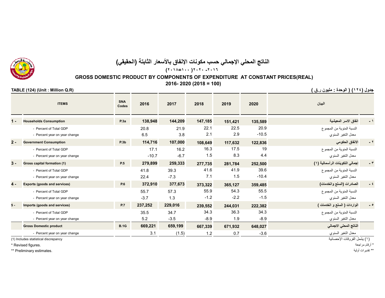

# **الناتج المحلي اإلجمالي حسب مكونات اإلنفاق باألسعار الثابتة (الحقيقي) (<sup>٢٠١٨</sup>=<sup>١٠٠</sup> )<sup>٢٠٢٠</sup> -<sup>٢٠١٦</sup>**

## **GROSS DOMESTIC PRODUCT BY COMPONENTS OF EXPENDITURE AT CONSTANT PRICES(REAL) 2016- 2020 (2018 = 100)**

**جدول (<sup>١٢٤</sup>) ( الوحدة : مليون <sup>ر</sup>.ق ) (R.Q Million : Unit) (124 (TABLE**

|       | <b>ITEMS</b>                         | <b>SNA</b><br>Codes | 2016    | 2017    | 2018    | 2019    | 2020    | البيان                          |     |
|-------|--------------------------------------|---------------------|---------|---------|---------|---------|---------|---------------------------------|-----|
| $1 -$ | <b>Households Consumption</b>        | P.3a                | 138,948 | 144,209 | 147,185 | 151,421 | 135,589 | انفاق الاسر المعيشية            |     |
|       | - Percent of Total GDP               |                     | 20.8    | 21.9    | 22.1    | 22.5    | 20.9    | النسبة المئوية من المجموع       |     |
|       | - Percent year on year change        |                     | 6.5     | 3.8     | 2.1     | 2.9     | $-10.5$ | معدل التغير السنوي              |     |
| $2 -$ | <b>Government Consumption</b>        | P.3b                | 114,716 | 107,000 | 108,649 | 117,632 | 122,836 | الانفاق الحكومي                 | - ۲ |
|       | - Percent of Total GDP               |                     | 17.1    | 16.2    | 16.3    | 17.5    | 19      | النسبة المئوية من المجموع       |     |
|       | - Percent year on year change        |                     | $-10.7$ | $-6.7$  | 1.5     | 8.3     | 4.4     | معدل التغير السنوي              |     |
| $3 -$ | Gross capital formation (1)          | P.5                 | 279,899 | 259,333 | 277,735 | 281,784 | 252,500 | إجمالي التكوينات الرأسمالية (١) |     |
|       | - Percent of Total GDP               |                     | 41.8    | 39.3    | 41.6    | 41.9    | 39.6    | النسبة المئوية من المجموع       |     |
|       | - Percent year on year change        |                     | 22.4    | $-7.3$  | 7.1     | 1.5     | $-10.4$ | معدل التغير السنوي              |     |
| $4 -$ | <b>Exports (goods and services)</b>  | <b>P.6</b>          | 372,910 | 377,673 | 373,322 | 365,127 | 359,485 | الصادرات (السلع والخدمات)       |     |
|       | - Percent of Total GDP               |                     | 55.7    | 57.3    | 55.9    | 54.3    | 55.5    | النسبة المئوية من المجموع       |     |
|       | - Percent year on year change        |                     | $-3.7$  | 1.3     | $-1.2$  | $-2.2$  | $-1.5$  | معدل التغير السنوي              |     |
| $5 -$ | Imports (goods and services)         | <b>P.7</b>          | 237,252 | 229,016 | 239,552 | 244,031 | 222,382 | الواردات ( السلع و الخدمات )    | ه ـ |
|       | - Percent of Total GDP               |                     | 35.5    | 34.7    | 34.3    | 36.3    | 34.3    | النسبة المئوية من المجموع       |     |
|       | - Percent year on year change        |                     | 5.2     | $-3.5$  | $-8.9$  | 1.9     | $-8.9$  | معدل التغير السنوي              |     |
|       | <b>Gross Domestic product</b>        | <b>B.1G</b>         | 669,221 | 659,199 | 667,339 | 671,932 | 648,027 | الناتج المحلي الاجمالي          |     |
|       | - Percent year on year change        |                     | 3.1     | (1.5)   | 1.2     | 0.7     | $-3.6$  | معدل التغير السنوي              |     |
|       | (1) Includes statistical discrepancy |                     |         |         |         |         |         | ( ۱ ) يشمل الفر وقات الإحصائية  |     |

\* أرقام مراجعة .figures Revised\*

\*\* Preliminary estimates.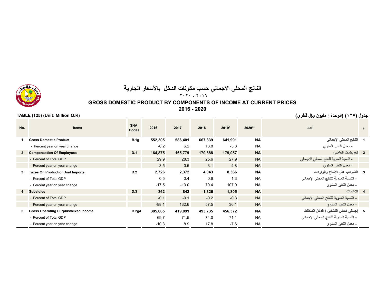# **الناتج المحلي االجمالي حسب مكونات الدخل باألسعار الجارية ٢٠٢٠ - ٢٠١٦**

# **GROSS DOMESTIC PRODUCT BY COMPONENTS OF INCOME AT CURRENT PRICES**

**2016 - 2020**

**No. Items SNA Codes <sup>2016</sup> <sup>2017</sup> <sup>2018</sup> 2019\* 2020\*\* البيان <sup>م</sup> <sup>1</sup> Gross Domestic Product B.1g 552,305 586,401 667,339 641,991 NA اإلجمالي المحلي الناتج <sup>1</sup>** - Percent year on year change -6.2 6.2 13.8 -3.8 NA السنوي التغير معدل - **<sup>2</sup> Compensation Of Employees D.1 164,875 165,779 170,888 179,057 NA العاملين تعويضات <sup>2</sup>** - النسبة المئوية للناتج المحلي اإلجمالي NA 27.9 25.6 28.3 29.9 GDP Total of Percent - - Percent year on year change 3.5 0.5 3.1 4.8 NA السنوي التغير معدل - **<sup>3</sup> Taxes On Production And Imports D.2 2,726 2,372 4,043 8,366 NA والواردات اإلنتاج على الضرائب <sup>3</sup> - النسبة المئوية للناتج المحلي اإلجمالي** NA 1.3 0.6 0.4 0.5 GDP Total of Percent - - Percent year on year change -17.5 -13.0 70.4 107.0 NA **السنوي التغير معدل - 4 Subsidies D.3 -362 -842 -1,326 -1,805 NA اإلعانات <sup>4</sup> - النسبة المئوية للناتج المحلي اإلجمالي** NA -0.3 -0.2 -0.1 -0.1 GDP Total of Percent - - Percent year on year change -88.1 132.6 57.5 36.1 NA **السنوي التغير معدل - <sup>5</sup> Gross Operating Surplus/Mixed Income B.2g/B 385,065 419,091 493,735 456,372 NA المختلط الدخل / التشغيل فائض إجمالي <sup>5</sup> - النسبة المئوية للناتج المحلي اإلجمالي** NA 71.1 74.0 71.5 69.7 GDP Total of Percent - - Percent year on year change -10.3 8.9 17.8 -7.6 NA **السنوي التغير معدل -** 



**جدول (<sup>١٢٥</sup>) (الوحدة : مليون ریال قطري) (R.Q Million :Unit) (125 (TABLE**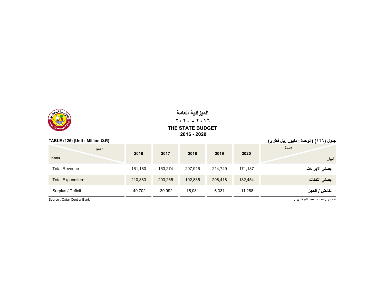

# **الميزانية العامة ٢٠٢٠ - ٢٠١٦THE STATE BUDGET 2016 - 2020**

**اجمالي النفقات** 182,454 208,418 192,835 203,265 210,883 Expenditure Total

**الفائض / العجز** -11,268 6,331 15,081 -39,992 -49,702 Deficit / Surplus

| TABLE (126) (Unit: Million Q.R) | جدول (١٢٦) (الوحدة : مليون ريال قطري) |         |         |         |         |                  |
|---------------------------------|---------------------------------------|---------|---------|---------|---------|------------------|
| year<br><b>Items</b>            | 2016                                  | 2017    | 2018    | 2019    | 2020    | السنة<br>البيان  |
| <b>Total Revenue</b>            | 161.180                               | 163.274 | 207.916 | 214.749 | 171.187 | اجمالي الايرادات |

المصدر : مصرف قطر المركزي . .Bank Central Qatar : Source